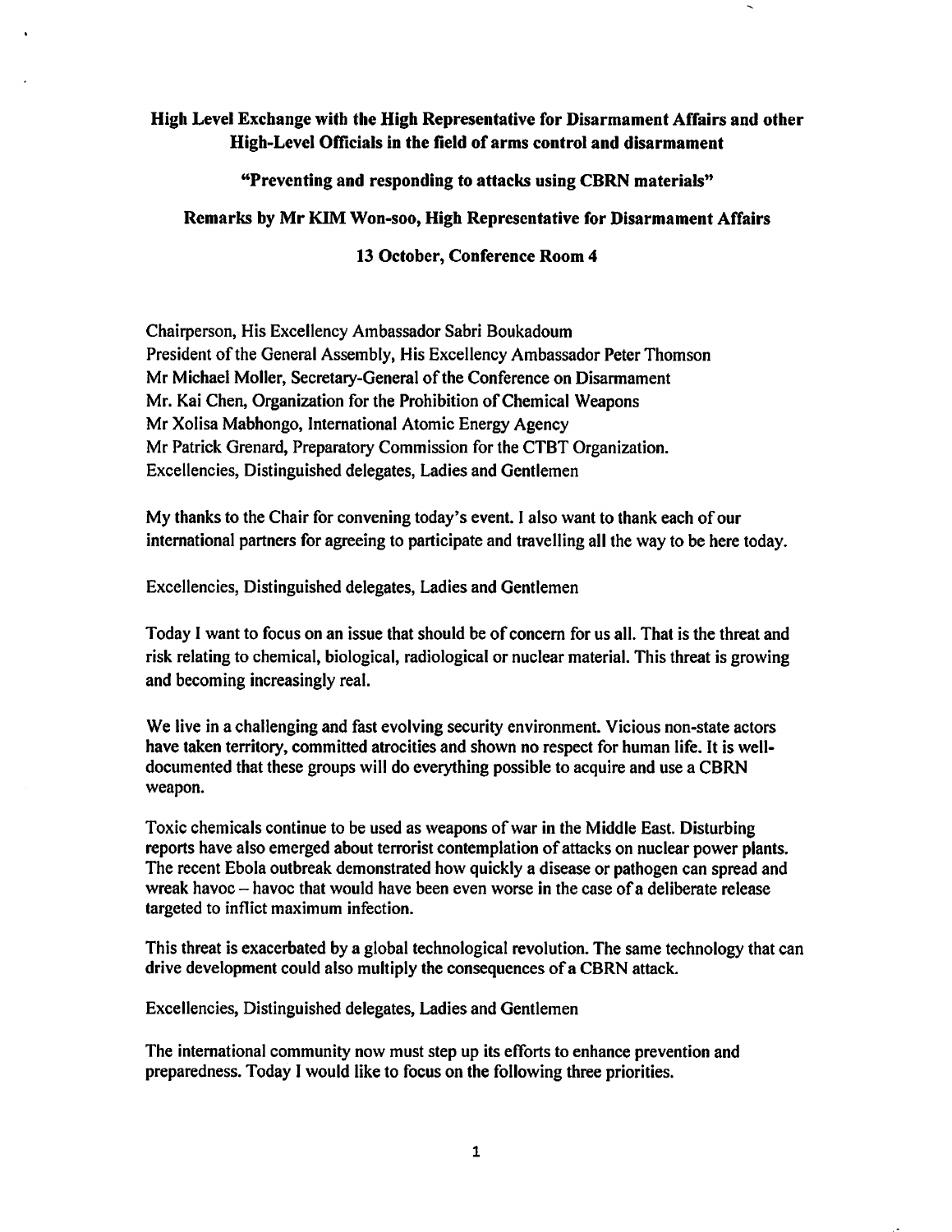## High Level Exthange with the High Representative for Disarmament Affairs and other High-Level Officials in the field of arms control and disarmament

"Preventing and responding to attacks using CBRN materials"

## Remarks by Mr KIM Won-soo, High Representative for Disarmament Affairs

## 13 October, Conference Room 4

Chairperson, His Excellency Ambassador Sabri Boukadoum President of the General Assembly, His Excellency Ambassador Peter Thomson Mr Michael Moller, Secretary-General of the Conference on Disarmament Mr. Kai Chen, Organization for the Prohibition of Chemical Weapons Mr Xolisa Mabhongo, International Atomic Energy Agency Mr Patrick Grenard, Preparatory Commission for the CTBT Organization. Excellencies, Distinguished delegates, Ladies and Gentlemen

My thanks to the Chair for convening today's event. I also want to thank each of our international partners for agreeing to participate and travelling all the way to be here today.

Excellencies, Distinguished delegates, Ladies and Gentlemen

Today I want to focus on an issue that should be of concern for us all. That is the threat and risk relating to chemical, biological, radiological or nuclear material. This threat is growing and becoming increasingly real.

We live in a challenging and fast evolving security environment. Vicious non-state actors have taken territory, committed atrocities and shown no respect for human life. It is welldocumented that these groups will do everything possible to acquire and use a CBRN weapon.

Toxic chemicals continue to be used as weapons of war in the Middle East. Disturbing reports have also emerged about terrorist contemplation of attacks on nuclear power plants. The recent Ebola outbreak demonstrated how quickly a disease or pathogen can spread and wreak havoc - havoc that would have been even worse in the case of a deliberate release targeted to inflict maximum infection.

This threat is exacerbated by a global technological revolution. The same technology that can drive development could also multiply the consequences of a CBRN attack.

Excellencies, Distinguished delegates, Ladies and Gentlemen

The international community now must step up its efforts to enhance prevention and preparedness. Today I would like to focus on the following three priorities.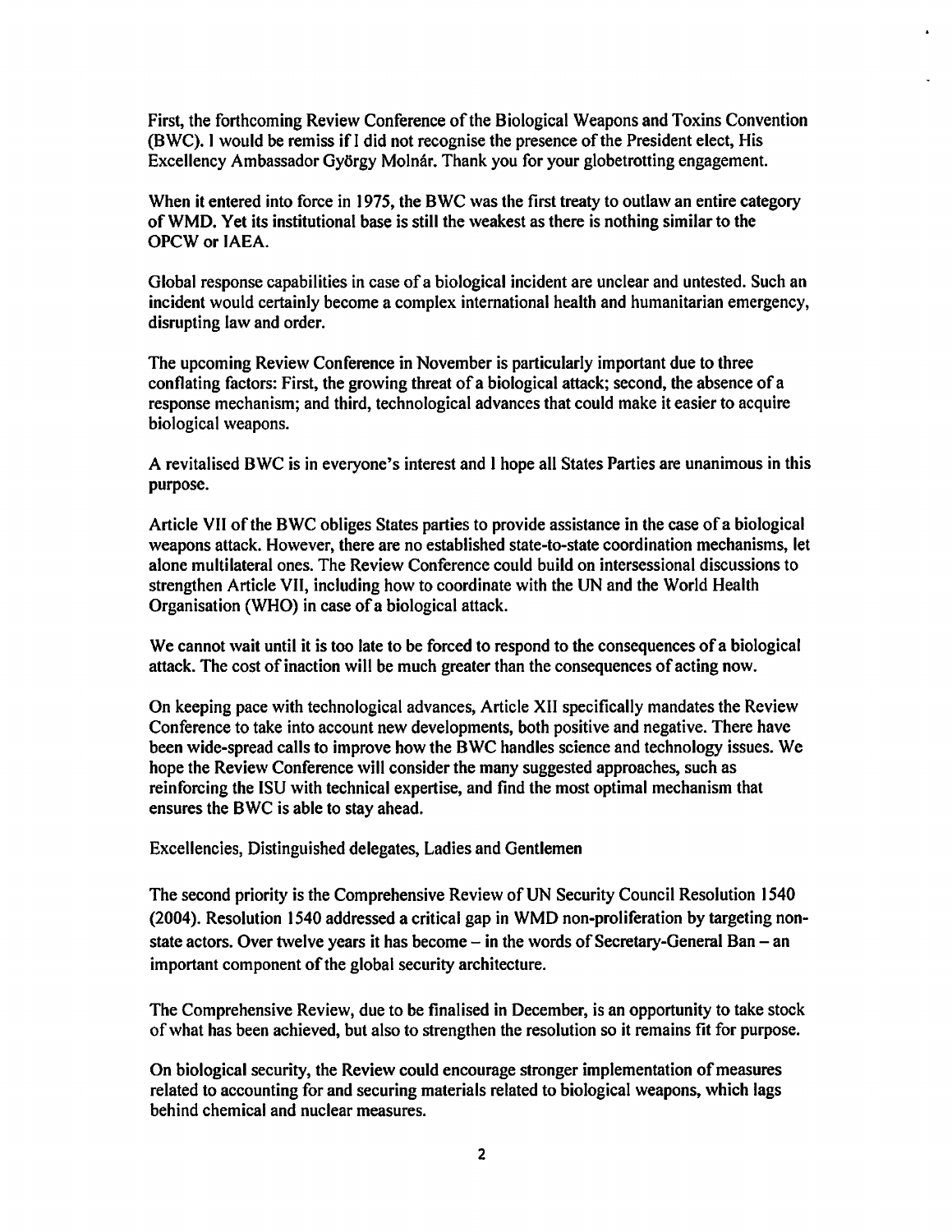First, the forthcoming Review Conference of the Biological Weapons and Toxins Convention (BWC). I would be remiss if) did not recognise the presence of the President elect, His Excellency Ambassador Gy6rgy Molnar. Thank you for your globetrotting engagement.

When it entered into force in 1975, the BWC was the first treaty to outlaw an entire category ofWMD. Yet its institutional base is still the weakest as there is nothing similar to the OPCW or IAEA.

Global response capabilities in case of a biological incident are unclear and untested. Such an incident would certainly become a complex international health and humanitarian emergency, disrupting law and order.

The upcoming Review Conference in November is particularly important due to three conflating factors: First, the growing threat of a biological attack; second, the absence of a response mechanism; and third, technological advances that could make it easier to acquire biological weapons.

A revitalised BWC is in everyone's interest and I hope all States Parties are unanimous in this purpose.

Article VII of the BWC obliges States parties to provide assistance in the case ofa biological weapons attack. However, there are no established state-to-state coordination mechanisms, let alone multilateral ones. The Review Conference could build on intersessional discussions to strengthen Article VII, including how to coordinate with the UN and the World Health Organisation (WHO) in case of a biological attack.

We cannot wait until it is too late to be forced to respond to the consequences of a biological attack. The cost of inaction will be much greater than the consequences of acting now.

On keeping pace with technological advances, Article XII specifically mandates the Review Conference to take into account new developments, both positive and negative. There have been wide-spread calls to improve how the BWC handles science and technology issues. We hope the Review Conference will consider the many suggested approaches, such as reinforcing the ISU with technical expertise, and find the most optimal mechanism that ensures the BWC is able to stay ahead.

Excellencies, Distinguished delegates, Ladies and Gentlemen

The second priority is the Comprehensive Review of UN Security Council Resolution 1540 (2004). Resolution 1540 addressed a critical gap in WMD non-proliferation by targeting nonstate actors. Over twelve years it has become  $-$  in the words of Secretary-General Ban  $-$  an important component of the global security architecture.

The Comprehensive Review, due to be finalised in December, is an opportunity to take stock of what has been achieved, but also to strengthen the resolution so it remains fit for purpose.

On biological security, the Review could encourage stronger implementation of measures related to accounting for and securing materials related to biological weapons, which lags behind chemical and nuclear measures.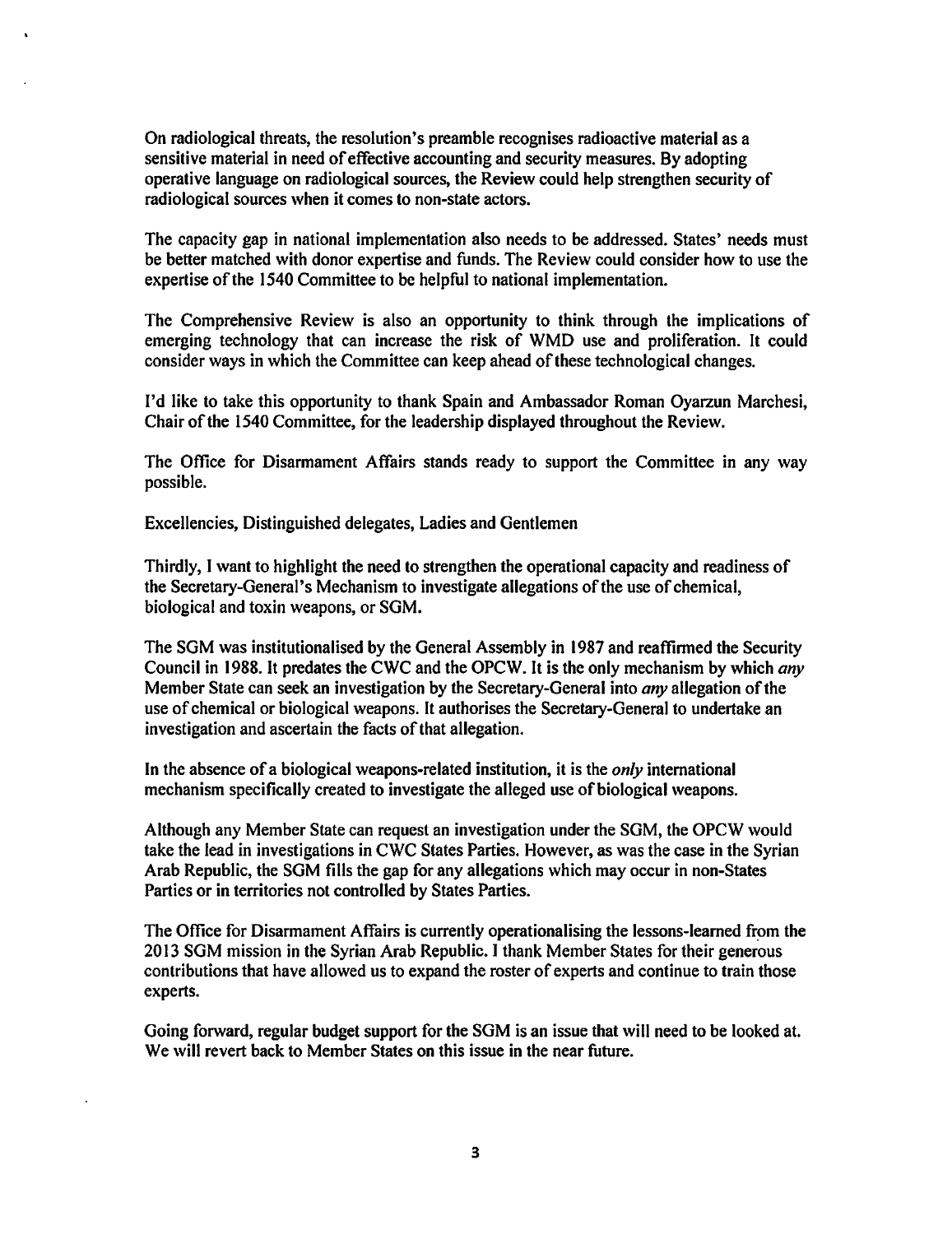On radiological threats, the resolution's preamble recognises radioactive material as a sensitive material in need of effective accounting and security measures. By adopting operative language on radiological sources, the Review could help strengthen security of radiological sources when it comes to non-state actors.

The capacity gap in national implementation also needs to be addressed. States' needs must be better matched with donor expertise and funds. The Review could consider how to use the expertise of the 1540 Committee to be helpful to national implementation.

The Comprehensive Review is also an opportunity to think through the implications of emerging technology that can increase the risk of WMD use and proliferation. It could consider ways in which the Committee can keep ahead of these technological changes.

I'd like to take this opportunity to thank Spain and Ambassador Roman Oyarzun Marchesi, Chair of the 1540 Committee, for the leadership displayed throughout the Review.

The Office for Disarmament Affairs stands ready to support the Committee in any way possible.

Excellencies, Distinguished delegates, Ladies and Gentlemen

Thirdly, I want to highlight the need to strengthen the operational capacity and readiness of the Secretary-General's Mechanism to investigate allegations of the use of chemical, biological and toxin weapons, or SGM.

The SGM was institutionalised by the General Assembly in 1987 and reaffirmed the Security Council in 1988. It predates the CWC and the OPCW. It is the only mechanism by which *any* Member State can seek an investigation by the Secretary-General into *any* allegation of the use of chemical or biological weapons. It authorises the Secretary-General to undertake an investigation and ascertain the facts of that allegation.

In the absence of a biological weapons-related institution, it is the *only* international mechanism specifically created to investigate the alleged use of biological weapons.

Although any Member State can request an investigation under the SGM, the OPCW would take the lead in investigations in CWC States Parties. However, as was the case in the Syrian Arab Republic, the SGM fills the gap for any allegations which may occur in non-States Parties or in territories not controlled by States Parties.

The Office for Disarmament Affairs is currently operationalising the lessons-learned from the 2013 SGM mission in the Syrian Arab Republic. I thank Member States for their generous contributions that have allowed us to expand the roster of experts and continue to train those experts.

Going forward, regular budget support for the SGM is an issue that will need to be looked at. We will revert back to Member States on this issue in the near future.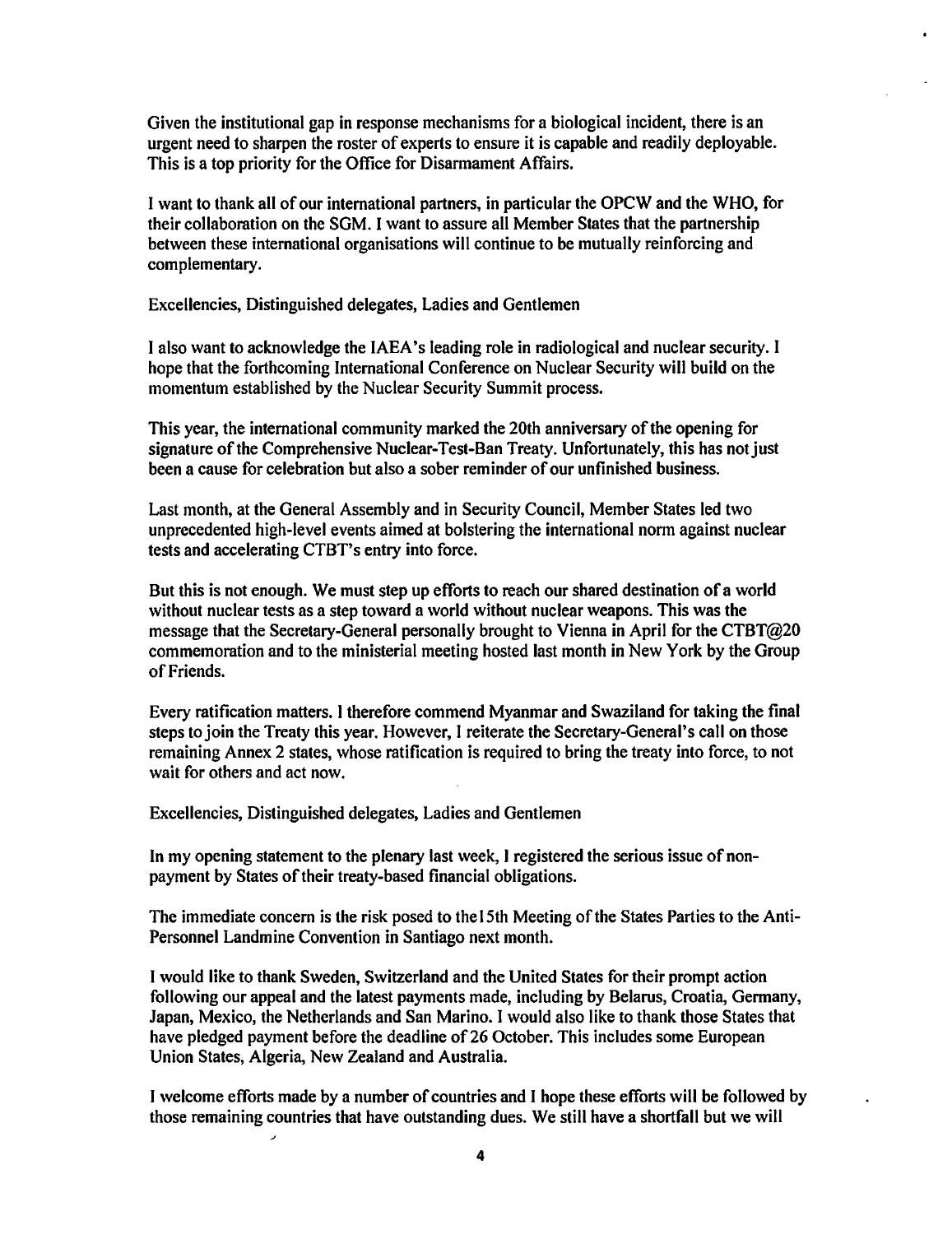Given the institutional gap in response mechanisms for a biological incident, there is an urgent need to sharpen the roster of experts to ensure it is capable and readily deployable. This is a top priority for the Office for Disarmament Affairs.

I want to thank all of our international partners, in particular the OPCW and the WHO, for their collabomtion on the SGM. I want to assure all Member States that the partnership between these international organisations will continue to be mutually reinforcing and complementary.

Excellencies, Distinguished delegates, Ladies and Gentlemen

I also want to acknowledge the IAEA's leading role in radiological and nuclear security. I hope that the forthcoming International Conference on Nuclear Security will build on the momentum established by the Nuclear Security Summit process.

This year, the international community marked the 20th anniversary of the opening for signature of the Comprehensive Nuclear-Test-Ban Treaty. Unfortunately, this has not just been a cause for celebration but also a sober reminder of our unfinished business.

Last month, at the General Assembly and in Security Council, Member States led two unprecedented high-level events aimed at bolstering the international norm against nuclear tests and accelerating CTBT's entry into force.

But this is not enough. We must step up efforts to reach our shared destination of a world without nuclear tests as a step toward a world without nuclear weapons. This was the message that the Secretary-General personally brought to Vienna in April for the CTBT@20 commemoration and to the ministerial meeting hosted last month in New York by the Group of Friends.

Every mtification matters. I therefore commend Myanmar and Swaziland for taking the final steps to join the Treaty this year. However, I reiterate the Secretary-Geneml's call on those remaining Annex 2 states, whose ratification is required to bring the treaty into force, to not wait for others and act now.

Excellencies, Distinguished delegates, Ladies and Gentlemen

In my opening statement to the plenary last week, I registered the serious issue of nonpayment by States of their treaty-based financial obligations.

The immediate concern is the risk posed to the 15th Meeting of the States Parties to the Anti-Personnel Landmine Convention in Santiago next month.

I would like to thank Sweden, Switzerland and the United States for their prompt action following our appeal and the latest payments made, including by Belarus, Croatia, Germany, Japan, Mexico, the Netherlands and San Marino. I would also like to thank those States that have pledged payment before the deadline of 26 October. This includes some European Union States, Algeria, New Zealand and Australia.

I welcome efforts made by a number of countries and I hope these efforts will be followed by those remaining countries that have outstanding dues. We still have a shortfall but we will